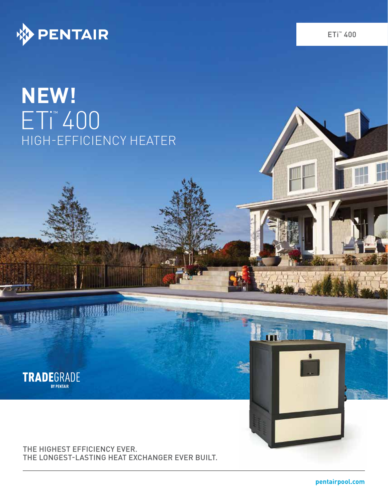

TRADEGRADE

# **NEW!** ETi ™ 400 HIGH-EFFICIENCY HEATER

THE HIGHEST EFFICIENCY EVER. THE LONGEST-LASTING HEAT EXCHANGER EVER BUILT. ETi™ 400

**pentairpool.com**

пÈ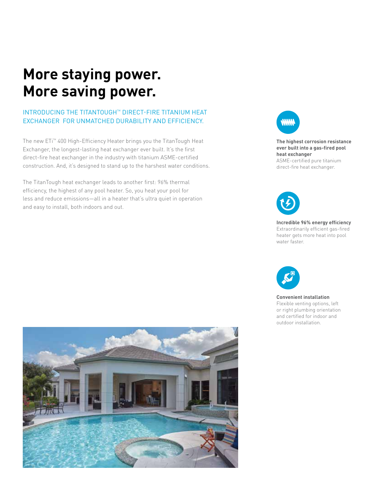# **More staying power. More saving power.**

## INTRODUCING THE TITANTOUGH™ DIRECT-FIRE TITANIUM HEAT EXCHANGER FOR UNMATCHED DURABILITY AND EFFICIENCY.

The new ETi™ 400 High-Efficiency Heater brings you the TitanTough Heat Exchanger, the longest-lasting heat exchanger ever built. It's the first direct-fire heat exchanger in the industry with titanium ASME-certified construction. And, it's designed to stand up to the harshest water conditions.

The TitanTough heat exchanger leads to another first: 96% thermal efficiency, the highest of any pool heater. So, you heat your pool for less and reduce emissions—all in a heater that's ultra quiet in operation and easy to install, both indoors and out.



## **The highest corrosion resistance ever built into a gas-fired pool heat exchanger**

ASME-certified pure titanium direct-fire heat exchanger.



**Incredible 96% energy efficiency** Extraordinarily efficient gas-fired heater gets more heat into pool water faster.



## **Convenient installation** Flexible venting options, left or right plumbing orientation and certified for indoor and outdoor installation.

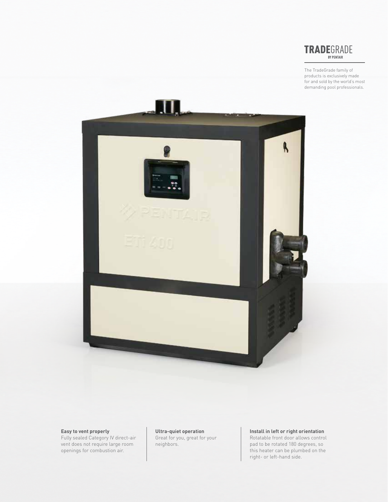

The TradeGrade family of products is exclusively made for and sold by the world's most demanding pool professionals.



#### **Easy to vent properly**

Fully sealed Category IV direct-air vent does not require large room openings for combustion air.

**Ultra-quiet operation** Great for you, great for your neighbors.

## **Install in left or right orientation**

Rotatable front door allows control pad to be rotated 180 degrees, so this heater can be plumbed on the right- or left-hand side.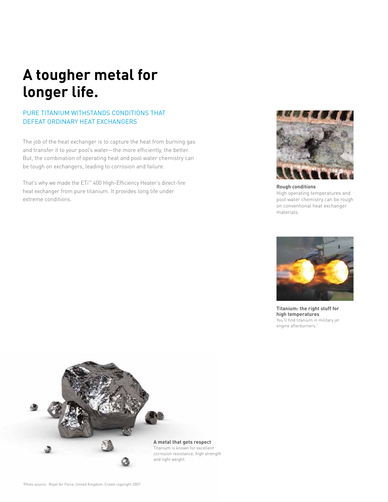# **A tougher metal for longer life.**

## PURE TITANIUM WITHSTANDS CONDITIONS THAT DEFEAT ORDINARY HEAT EXCHANGERS

The job of the heat exchanger is to capture the heat from burning gas and transfer it to your pool's water—the more efficiently, the better. But, the combination of operating heat and pool water chemistry can be tough on exchangers, leading to corrosion and failure.

That's why we made the ETi<sup>™</sup> 400 High-Efficiency Heater's direct-fire heat exchanger from pure titanium. It provides long life under extreme conditions.



**Rough conditions** High operating temperatures and pool water chemistry can be rough on conventional heat exchanger materials.



**Titanium: the right stuff for high temperatures** You'll find titanium in military jet engine afterburners.<sup>1</sup>

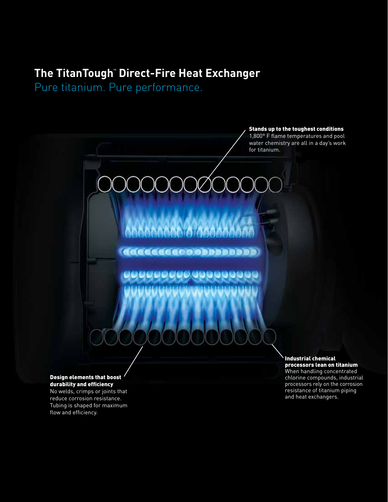## **The TitanTough**™ **Direct-Fire Heat Exchanger**

Pure titanium. Pure performance.

Stands up to the toughest conditions 1,800° F flame temperatures and pool

water chemistry are all in a day's work for titanium.

Design elements that boost durability and efficiency

No welds, crimps or joints that reduce corrosion resistance. Tubing is shaped for maximum flow and efficiency.

Industrial chemical processors lean on titanium When handling concentrated chlorine compounds, industrial processors rely on the corrosion resistance of titanium piping and heat exchangers.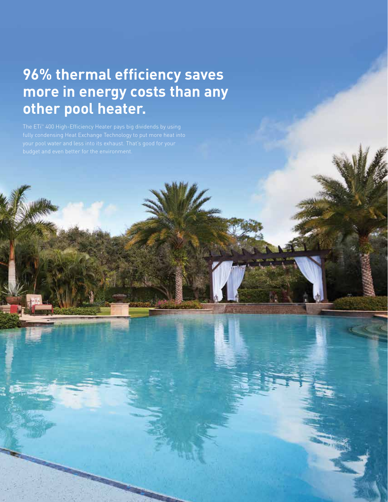# **96% thermal efficiency saves more in energy costs than any other pool heater.**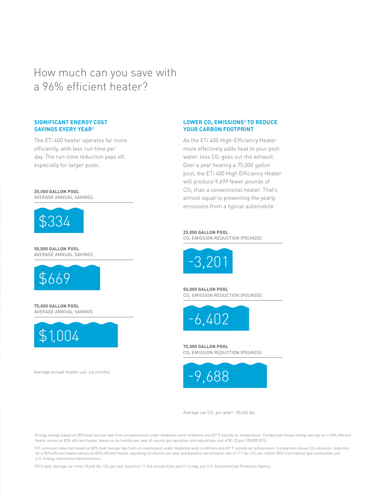## How much can you save with a 96% efficient heater?

## **SIGNIFICANT ENERGY COST SAVINGS EVERY YEAR2**

The ETi 400 heater operates far more efficiently, with less run time per day. The run-time reduction pays off, especially for larger pools.

## **25,000 GALLON POOL** AVERAGE ANNUAL SAVINGS



**50,000 GALLON POOL** AVERAGE ANNUAL SAVINGS



**75,000 GALLON POOL** AVERAGE ANNUAL SAVINGS



## **LOWER CO2 EMISSIONS3 TO REDUCE YOUR CARBON FOOTPRINT**

As the ETi 400 High-Efficiency Heater more effectively adds heat to your pool water, less CO<sub>2</sub> goes out the exhaust. Over a year heating a 75,000 gallon pool, the ETi 400 High Efficiency Heater will produce 9,699 fewer pounds of  $CO<sub>2</sub>$  than a conventional heater. That's almost equal to preventing the yearly emissions from a typical automobile.

### **25,000 GALLON POOL** CO<sub>2</sub> EMISSION REDUCTION (POUNDS)



**50,000 GALLON POOL** CO<sub>2</sub> EMISSION REDUCTION (POUNDS)



**75,000 GALLON POOL** CO2 EMISSION REDUCTION (POUNDS)



Average car  $CO<sub>2</sub>$  per year<sup>4</sup>: 10,440 lbs.

?Energy savings based on 30% heat loss per day from uncovered pool under moderate wind conditions and 65° F outside air temperature. Comparison shows energy savings for a 96% efficient<br>heater versus an 83% efficient heater heater versus an 83% efficient heater, based on six months per year of natural gas operation and natural gas cost of \$1.22 per 100,000 BTU.

 $^3$ CO<sub>2</sub> emission reduction based on 30% heat loss per day from uncovered pool under moderate wind conditions and 65° F outside air temperature. Comparison shows CO<sub>2</sub> emission reduction for a 96% efficient heater versus an 83% efficient heater, operating six months per year and based on an emission rate of 117 lbs. CO $_2$  per million BTU from natural gas combustion, per U.S. Energy Information Administration.

 $^4$ 2013 data: Average car emits 10,440 lbs. CO $_2$  per year, based on 11,346 annual miles and 21.6 mpg, per U.S. Environmental Protection Agency.